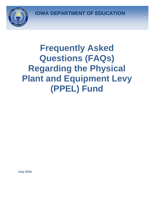**IOWA DEPARTMENT OF EDUCATION**



# **Frequently Asked Questions (FAQs) Regarding the Physical Plant and Equipment Levy (PPEL) Fund**

**July 2016**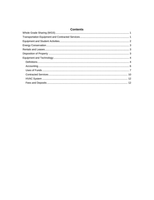| <b>Contents</b> |  |
|-----------------|--|
|                 |  |
|                 |  |
|                 |  |
|                 |  |
|                 |  |
|                 |  |
|                 |  |
|                 |  |
|                 |  |
|                 |  |
|                 |  |
|                 |  |
|                 |  |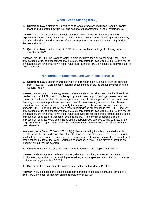# **Whole Grade Sharing (WGS)**

<span id="page-2-0"></span>**1. Question:** May a district pay a portion of its whole grade sharing tuition from the Physical Plant and Equipment Levy (PPEL) and designate that amount for school infrastructure?

**Answer:** No. Tuition is not an allowable use from PPEL. All tuition is a General Fund expenditure to the sending district and a General Fund revenue to the receiving district and may not be used or designated for school infrastructure purposes or any other use not appropriate to the General Fund.

**2. Question:** May a district share its PPEL revenues with its whole grade sharing partner or any other entity?

**Answer:** No. PPEL Fund is a fund which is more restricted than any other fund in that it can only be used for those expenditures that are expressly stated in Iowa Code 298.3 (clearly implied is not a measure for allowability in the PPEL Fund). Sharing PPEL is not a listed allowable use of PPEL revenues**.**

# **Transportation Equipment and Contracted Services**

<span id="page-2-1"></span>**1. Question:** May a district charge a portion of a transportation purchased services contract from PPEL, as if it were a cost for leasing buses instead of paying the full contract from the General Fund?

**Answer:** Although a bus *lease agreement*, where the district obtains buses that it will use itself, can be paid from PPEL, it would not be appropriate to deem a portion of a *purchased services contract* to be the equivalent of a lease agreement. It would be inappropriate if the district were deeming a portion of a purchased service contract to be a lease agreement to obtain buses, when that same service provider is actually the one using the buses to transport the district's students. PPEL Fund is a fund which is more restricted than other funds in that PPEL Fund can only be used for those expenditures that are expressly stated in Iowa Code 298.3 (clearly implied is not a measure for allowability in the PPEL Fund). Districts are disallowed from splitting a public improvement contract for purposes of avoiding bid law. The concept of splitting a public improvement contract would be similar to splitting a purchased services busing contract for the purpose of expending a portion of the contract from a fund where it would not otherwise have been allowable.

In addition, Iowa Code 285.5 and 285.1(17)(b) allow contracting for school bus service with private parties to transport non-public students. However, the Code states that these contracts shall not provide payment in excess of the average per pupil transportation costs [General Fund] of the school district for that year. Splitting a contract could result in the district submitting an incorrect amount for the payment.

**2. Question:** Can a district pay for bus tires or rebuilding a bus engine from PPEL?

**Answer:** A district cannot purchase bus tires, which are supplies, from PPEL. However, a district may pay for the cost of rebuilding or repairing a bus engine with PPEL funding if the cost of that repair is greater than \$2,500.

**3. Question:** Is a replacement engine for a school bus allowed from PPEL?

**Answer:** Yes. Replacing the engine is a repair of transportation equipment, and can be paid from PPEL if the cost of that new engine is greater than \$2,500.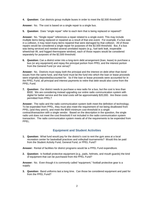**4. Question:** Can districts group multiple buses in order to meet the \$2,500 threshold?

**Answer:** No. The cost is based on a single repair to a single bus.

**5. Question:** Does "single repair" refer to each item that is being replaced or repaired?

**Answer:** No. "Single repair" references a repair related to a single event. This may include multiple items being replaced or repaired as a result of that one event. For example, if a bus was in a collision, it may need many items repaired that were damaged by that collision. All of those repairs would be considered a single repair for purposes of the \$2,500 threshold. But, if a bus was being serviced and needed several unrelated repairs (e.g., fuel tank leak, inoperable wheelchair lift, and fogged thermopane window), each of those repairs would be considered separately for purposes of the \$2,500 threshold.

**6. Question:** Can a district enter into a long-term debt arrangement (loan, lease) to purchase a bus (or any equipment) and repay the principal portion from PPEL and the interest portion from the General Fund (or vice versa)?

**Answer:** No. Districts must repay both the principal and the interest on debt other than bond issues from the same fund, and that fund must be the fund into which the loan or lease proceeds were originally deposited/accounted for. So if the loan or lease proceeds were accounted for in the PPEL Fund, all principal and interest payments to retire that debt would also come from the PPEL Fund.

**7. Question:** Our district needs to purchase a new radio for a bus, but the cost is less than \$500. We are considering instead upgrading our entire radio communication system with digital for better service and the total costs will be approximately \$20,000. Are these costs permitted from PPEL?

**Answer:** The radio and the radio communication system both meet the definition of technology. To be expended from PPEL, they must also meet the requirement of not being disallowed from PPEL (and they aren't), and meet the \$500 minimum cost threshold in a single contract/transaction with a single vendor. Based on the description in the question, the single radio unit does not meet the cost threshold if not included in the radio communication system transaction. The radio communication system meets all of the requirements to be expended from PPEL.

## **Equipment and Student Activities**

<span id="page-3-0"></span>**1. Question:** What fund would pay for the district's cost to rent the gym area at a local recreation center for basketball practices and volleyball tournaments? Would this be paid from the Student Activity Fund, General Fund, or PPEL Fund?

**Answer:** Rental of facilities for district programs would be a PPEL Fund expenditure.

**2. Question:** Is football protective equipment (e.g., pads, helmets, and mouth guards) the kind of equipment that can be purchased from the PPEL Fund?

**Answer:** No. Even though it is commonly called "equipment," football protective gear is a supply.

**3. Question:** Band uniforms last a long time. Can those be considered equipment and paid for from the PPEL Fund?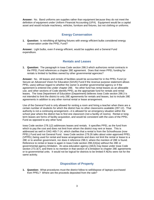**Answer:** No. Band uniforms are supplies rather than equipment because they do not meet the definition of equipment under Uniform Financial Accounting (UFA). Equipment would be a capital asset and would include machinery, vehicles, furniture and fixtures, but not clothing or uniforms.

# **Energy Conservation**

<span id="page-4-0"></span>**1. Question:** Is retrofitting all lighting fixtures with energy efficient bulbs considered energy conservation under the PPEL Fund?

<span id="page-4-1"></span>**Answer:** Light bulbs, even if energy efficient, would be supplies and a General Fund expenditure.

## **Rentals and Leases**

**1. Question:** The paragraph in Iowa Code section 298.3 which authorizes rental contracts in the PPEL Fund references a chapter 28E agreement. Does that mean PPEL funding for rentals is limited to facilities owned by other governmental agencies?

**Answer:** No.All leases and rentals of facilities would be accounted for in the PPEL Fund (or Secure an Advanced Vision for Education [SAVE] Fund if the revenue purpose statement allows PPEL uses) without regard to whether the owner is another governmental agency or if the agreement is entered into under chapter 28E. No other fund has rental leases as an allowable use, and other sections of Code identify PPEL as the appropriate fund for rentals and rental leases. The Iowa Department of Education (Department) believes Iowa Code section 298.3 is not intended to limit the district to only 28E agreements for rentals and leases, but to include 28E agreements in addition to any other normal rental or lease arrangement.

Use of the General Fund is only allowed for renting a room and hiring a teacher when there are a certain number of students for which the district has no other classrooms available (297.12). That authority is not a continuing arrangement—it is allowed for an emergency situation within the school year where the district has to find one classroom (not a facility of rooms). Rental or longterm leases are forms of facility acquisition, and would be consistent with the uses of the PPEL Fund as opposed to any other fund.

Iowa Code section 278.1(2) addresses leases and rentals. It specifies PPEL as the fund from which to pay the cost and does not limit from whom the district may rent or lease. This is addressed as well in OAG #65-7-14, which clarifies that a rental is from the Schoolhouse (now PPEL) Fund and not General Fund. Iowa Code section 279.26 talks about voter-approved PPEL (VPPEL) being used for rental and lease arrangements and does not limit the rental or lease to a 28E or to another government, nor does it reference 298.3, where the mention of 28E is found. Reference to rental or lease is again in Iowa Code section 298.2(4)(a) without the 28E or governmental agency limitation. An area education agency (AEA) may lease under Iowa Code section 273.3(7), and there is no mention in that section of a limitation to chapter 28E agreements or to governmental units. It would not be logical for districts to be limited if AEAs were not for the same activity.

# **Disposition of Property**

<span id="page-4-2"></span>**1. Question:** What procedures must the district follow to sell/dispose of laptops purchased from PPEL? Where are the proceeds deposited from the sale?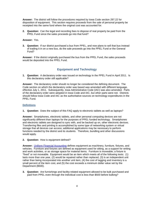**Answer:** The district will follow the procedures required by Iowa Code section 297.22 for disposition of equipment. This section requires proceeds from the sale of personal property be receipted into the same fund where the original cost was accounted for.

**2. Question:** Can the legal and recording fees to dispose of real property be paid from the PPEL Fund since the sales proceeds go into that fund?

## **Answer:** Yes.

**3. Question:** If our district purchased a bus from PPEL, and now plans to sell that bus instead of trading it in on a new bus, do the sale proceeds go into the PPEL Fund or the General Fund?

<span id="page-5-0"></span>**Answer:** If the district originally purchased the bus from the PPEL Fund, the sales proceeds would be deposited into the PPEL Fund.

# **Equipment and Technology**

**1. Question:** A declaratory order was issued on technology in the PPEL Fund in April 2011. Is this declaratory order still applicable?

**Answer:** The declaratory order should no longer be considered the defining document. The Code section on which the declaratory order was based was amended with different language, effective July 1, 2011. Subsequently, Iowa Administrative Code (IAC) was also amended. Parts of the declaratory order were adopted in Iowa Code and IAC, but other parts were not. Districts should follow Iowa Code and IAC as the authoritative sources on technology expenditures in the PPEL Fund.

## <span id="page-5-1"></span>**Definitions**

**1. Question:** Does the subject of this FAQ apply to electronic tablets as well as laptops?

**Answer:** Smartphones, electronic tablets, and other personal computing devices are not significantly different than laptops for the purposes of PPEL-funded technology. Smartphones and electronic tablets are designed to sync with, and be backed up on, other electronic devices. Transferring files and printing is accomplished by some type of networking system or virtual storage that all devices can access; additional applications may be necessary to perform functions needed by the district and its students. Therefore, bundling and other discussions would apply.

**2. Question:** How is equipment defined?

Answer: [Uniform Financial Accounting](https://www.educateiowa.gov/pk-12/school-business-finance/accounting-reporting/uniform-financial-accounting) defines equipment as machinery, furniture, fixtures, and vehicles. Furniture and fixtures are defined as equipment used for sitting, as a support for writing and work activities, or as storage space for material items. Furniture is moveable; a fixture is "fixed" or not moveable. Equipment would be an item which meets all of the following tests: (1) lasts more than one year, (2) would be repaired rather than replaced, (3) is an independent unit rather than being incorporated into another unit item, (4) the cost of tagging and inventory is a small percent of the item cost, and (5) the cost exceeds a minimum dollar value set by the Department (\$500).

**3. Question:** Are furnishings and facility-related equipment allowed to be bulk purchased and paid from PPEL even through the individual cost is less than \$500 before bulking?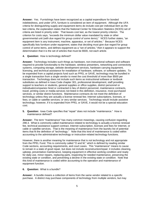**Answer:** Yes. Furnishings have been recognized as a capital expenditure for bonded indebtedness, and under UFA, furniture is considered an item of equipment. Although the UFA criteria for distinguishing supply and equipment items do include cost per individual item as the last criteria, the explanation states that the National Center for Education Statistics (NCES) set of criteria are listed in priority order. That leaves cost last, as the lowest priority criterion. The criterion for costs says, "exceeds the minimum dollar value mandated by state or other governmental unit (*with due regard for group control of some items*)." NCES further states, "an equipment item is any instrument, machine, apparatus, or set of articles." Because NCES specifically lists furniture under equipment, states that deciding must give due regard for group control of some items, and defines equipment as a "set of articles," then it appears to support the determination that it is the set of articles that must be \$500, not each article.

**4. Question:** How is technology defined?

**Answer:** Technology includes such things as hardware, non-instructional software and software required to provide functionality to the hardware, wireless presenters, networking and connectivity systems, computing storage, website development services, hardware carrying equipment, licensing, and technical assistance for installation of hardware, software, or software updates. To be expended from a capital projects fund such as PPEL or SAVE, technology may be bundled in a single transaction from a single vendor to meet the cost threshold of more than \$500 per transaction. Technology does not include such items as instructional software or textbook substitutes as defined in Iowa Code chapter 301, professional development, staff providing support to teachers or students, general supplies or office supplies, district personnel or individuals/companies hired or contracted in lieu of district personnel, maintenance contracts, travel, printing costs or media services not listed in this definition, insurance, most purchased services, or similar district functions. Maintenance contracts do not meet the definition of technology unless they are actually a license renewal fee; Internet subscriptions, licenses, or fees; or cable or satellite services; or very similar services. Technology would include assistive technology; however, if it is expended from PPEL or SAVE, it would not be a special education cost.

**5. Question:** Iowa Code specifies that "repair" does not include "maintenance." How is maintenance defined?

**Answer:** The term "maintenance" has many common meanings, causing confusion regarding 298.3. What is commonly called maintenance related to technology is actually a license renewal fee, technical assistance support contract, Internet subscription, licenses and fees for Internet, or cable or satellite services. That is the meaning of maintenance from the laundry list of potential items that fit the definition of "technology." Note that this kind of maintenance is coded within accounting to the administrative technology or instruction-related technology functions.

However, there is another meaning for maintenance that is not technology and not appropriate from the PPEL Fund. This is commonly called "O and M," which is defined by reading similar Code sections, accounting requirements, and court cases. This "maintenance" means to cause to remain in a state of good repair, but does not include reconstruction/repair; it includes cleaning, upkeep, preventative maintenance, keeping equipment in effective working condition and ready for daily use, minor repairs, replacing parts, inspecting for needed maintenance, preserving the existing state or condition, and preventing a decline in the existing state or condition. Note that this kind of maintenance is coded within accounting to the operation and maintenance of equipment function.

## **6. Question:** What is a bundle?

**Answer:** A bundle means a collection of items from the same vendor related to a specific purchase. A district may purchase components of technology from multiple vendors, but may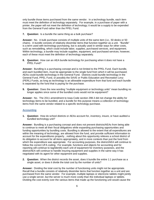only bundle those items purchased from the same vendor. In a technology bundle, each item must meet the definition of technology separately. For example, in a purchase of paper with a printer, the paper will not meet the definition of technology; it would be a supply to be expended from the General Fund rather than the PPEL Fund.

**7. Question:** Is a bundle the same thing as a bulk purchase?

**Answer:** No. A bulk purchase consists of multiple units of the same item (i.e., 50 desks or 50 chairs). A bundle consists of relatively dissimilar items that function together as a unit. "Bundle" is a term used with technology purchasing, but is actually used in similar ways for other costs, such as remodelling, which could include labor, supplies, purchased services, and equipment. Within technology, a bundle may include supplies, equipment, and purchased services; however, each of these must meet the definition of technology separately.

**8. Question:** How can an AEA bundle technology for purchasing when it does not have a PPEL Fund?

**Answer:** Bundling is a purchasing concept and is not limited to the PPEL Fund. Each bundle, and each bundled item, must be appropriate to the single fund from which it will be purchased; AEAs could bundle technology in the General Fund. Districts could bundle technology in the General Fund, PPEL Fund, or possibly the SAVE or Public Education and Recreation Levy (PERL) Funds, as long as technology is an allowable expenditure from that fund and each bundle is separated by the fund that is paying for the purchase.

**9. Question:** Does the new wording "multiple equipment or technology units" mean bundling no longer applies since some of the bundled costs would not be equipment?

**Answer:** No. The 2011 amendment to Iowa Code section 298.3 did not change the ability for technology items to be bundled, and a bundle for this purpose means a collection of technology items from the same vendor related to a specific technology purchase.

## <span id="page-7-0"></span>**Accounting**

**1. Question:** How do school districts or AEAs account for, inventory, insure, or have audited a bundled technology unit?

**Answer:** Bundling is a purchasing concept and does not prevent districts/AEAs from being able to continue to meet all their fiscal obligations while expanding purchasing opportunities and funding opportunities by bundling costs. Bundling is allowed to the extent that all expenditures are within the meaning of technology, are allowed from the fund, and provide sufficient information to account for the expenditures properly…nothing about this opportunity relieves a school district of its obligation to account for all items appropriately, and in more contexts than just the fund from which the expenditure was appropriate. For accounting purposes, the district/AEA will continue to follow the correct UFA coding. For example, functions and objects for accounting and for reporting will continue to tag/identify each unit of equipment for inventory purposes, and the district/AEA will continue to handle insuring equipment and supplies in the same way it has negotiated with its agent for other equipment and supplies.

**2. Question:** When the district records the asset, does it bundle the entire 1:1 purchase as a single asset, or does it divide the total cost by the number of units?

**Answer:** Dividing the total cost by the number of functioning units might not be appropriate. Recall that a bundle consists of relatively dissimilar items that function together as a unit and are purchased from the same vendor. For example, multiple laptops or electronic tablets might jointly use a single server, but the server is much more costly than the individual laptops or tablets. Dividing the cost evenly over the various items that made up the functioning unit would cause the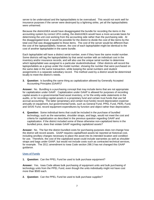server to be undervalued and the laptops/tablets to be overvalued. This would not work well for insurance purposes if the server were destroyed by a lightning strike, yet all the laptops/tablets were unharmed.

Because the district/AEA would have disaggregated the bundle for recording the items in the accounting system by correct UFA coding, the district/AEA would have a more accurate basis for determining the unit cost working from the accounting side rather than the purchasing side. At the disaggregated level, it would be possible for the district to divide the cost of like items by the total cost that was disaggregated to those items. The cost of the server would be different than the cost of the laptops/tablets; however, the cost of each laptop/tablet might be identical to the cost of another laptop/tablet in the same bundle.

Each laptop/tablet will have a distinct serial number, even if they have the same model number. Some districts will tag the laptops/tablets by that serial number with an individual cost in the inventory and/or insurance records, and will also use the unique serial number to determine which laptop/tablet was assigned to a particular student/individual. Other districts will record the laptops/tablets as a group under the model number, showing the number that were purchased on the same date in the same transaction, while keeping the serial numbers and student assignments in a separate subsidiary record. The method used by a district would be determined locally to meet the district's needs.

**3. Question:** Is bundling the same thing as capitalization allowed by Generally Accepted Accounting Principles (GAAP)?

**Answer:** No. Bundling is a purchasing concept that may include items that are not appropriate for capitalization under GAAP. Capitalization under GAAP is allowed for purposes of recording capital assets in a governmental fixed asset inventory, or for the entity-wide statements in the audits, or for recording capital assets in a proprietary fund and certain trust funds that use full accrual accounting. The latter (proprietary and certain trust funds) record depreciation expense annually on equipment, but governmental funds, such as General Fund, PPEL Fund, PERL Fund, and SAVE Fund, record equipment expenditures by function and object rather than depreciation.

**4. Question:** Some individual items that could be included in the purchase of bundled technology, such as the warranties, shoulder straps, and bags, would not meet the cost and criteria for capitalization as described in the previous question regarding GAAP and capitalization. If the district included some of these otherwise non-capitalized items in the bundled price, does that violate GAAP regarding capitalized assets?

**Answer:** No. The fact the district bundled costs for purchasing purposes does not change how the district will record assets. GAAP requires capital/fixed assets be reported at historical cost, including ancillary charges necessary to place the asset into its intended location and condition for use. Therefore, the cost of the capitalized asset could include warranties as well as shoulder straps and bags under GAAP, but would not include costs such as contracted technical services, for example. The 2011 amendment to Iowa Code section 298.3 has not changed this GAAP guidance.

## <span id="page-8-0"></span>**Uses of Funds**

**1. Question:** Can the PPEL Fund be used to bulk purchase *equipment*?

**Answer:** Yes. Iowa Code allows bulk purchasing of equipment units and bulk purchasing of technology units from the PPEL Fund, even though the units individually might not have cost more than \$500 each.

**2. Question:** Can the PPEL Fund be used to bulk purchase *supplies*?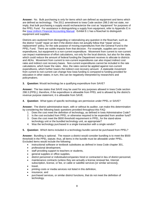**Answer:** No. Bulk purchasing is only for items which are defined as equipment and items which are defined as technology. The 2011 amendment to Iowa Code section 298.3 did not state, nor imply, that bulk purchasing a supply would recharacterize the cost as "equipment" for purposes of the PPEL Fund. For assistance in distinguishing a supply from equipment, refer to Appendix E in the [Iowa Uniform Financial Accounting Manual.](https://www.educateiowa.gov/documents/uniform-financial-accounting/2013/04/uniform-financial-accounting-manual-version-2009) Exhibit E-1 has a flowchart to distinguish equipment and supplies.

Districts are cautioned from disregarding or rationalizing any question in the flowchart, such as the district "could" repair an item if the district does not actually follow that "repair versus replacement" policy, for the sole purpose of moving expenditures from the General Fund to the PPEL Fund. There are subtle impacts from that decision. For example, supplies are current expenditures, but equipment is a non-current expenditure. Movement from current to non-current can impact maintenance of effort calculations, not only for the local districts, but also for the state, which could reduce the amount of federal funding the Department receives to allocate to districts and AEAs. Movement from current to non-current expenditures can also impact indirect cost rates and indirect cost recovery bases. Non-current expenditures cannot be included in the rate calculations, which lower the rates. Also, the rates cannot be applied against non-current expenditures, which further lowers the indirect cost recovery amount. A statewide movement from current to non-current can change how Iowa funding is compared to funding provided for education in other states; in turn, this can be negatively interpreted by researchers and policymakers.

**3. Question:** Would technology be a qualifying expenditure from SAVE?

**Answer:** The law states that SAVE may be used for any purposes allowed in Iowa Code section 298.3 (PPEL); therefore, if the expenditure is allowable from PPEL and is allowed by the district's revenue purpose statement, it is allowable from SAVE.

**4. Question:** What types of specific technology are permissive under PPEL or SAVE?

**Answer:** The district administrative team, with or without its auditor, can make this determination by considering the following basic questions provided throughout this FAQ:

- 1. Does the cost meet the definition of technology, as defined in Iowa Administrative Code?
- 2. Is the cost excluded from PPEL or otherwise required to be expended from another fund?
- 3. Does the cost meet the \$500 threshold requirement in PPEL, for the stand-alone technology unit or the bundled technology unit, as appropriate?
- 4. Was the technology purchased in a single transaction with a single vendor?
- **5. Question:** Which items included in a technology bundle cannot be purchased from PPEL?

**Answer:** Bundling is optional. The reason a district would consider bundling is to meet the \$500 threshold in the PPEL statute; thus, all items in the bundle must be allowable under PPEL. Excluded items would include the following:

- instructional software or textbook substitutes as defined in Iowa Code chapter 301,
- professional development,
- staff providing support to teachers or students,
- general supplies or office supplies,
- district personnel or individuals/companies hired or contracted in lieu of district personnel,
- maintenance contracts (unless they are actually a license renewal fee, Internet subscription, license, or fee, or cable or satellite services [or similar services]),
- travel,
- printing costs or media services not listed in this definition,
- insurance, and
- purchased services, or similar district functions, that do not meet the definition of technology.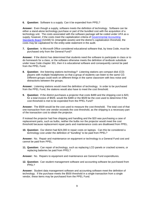**6. Question:** Software is a supply. Can it be expended from PPEL?

**Answer:** Even though a supply, software meets the definition of technology. Software can be either a stand-alone technology purchase or part of the bundled cost with the acquisition of a technology unit. The costs associated with the software package will be coded under UFA as a supply; however, if the costs meet the capitalization criteria of [Governmental Accounting](http://www.gasb.org/jsp/GASB/Page/GASBSectionPage&cid=1176160042391)  [Standards Board](http://www.gasb.org/jsp/GASB/Page/GASBSectionPage&cid=1176160042391) (GASB) 51 (intangible assets) and the district's capitalization threshold, the costs may be capitalized for the entity-wide statement in the audit.

**7. Question:** Is Microsoft Office considered educational software that, by Iowa Code, must be purchased only from the General Fund?

**Answer:** If the district has determined that students need the software to participate in class or to do homework for a class, or the software otherwise meets the definition of textbook substitute under Iowa Code chapter 301, then it is educational software and consequently cannot be paid from the PPEL Fund.

**8. Question:** Are listening stations technology? Listening stations are compact disk (CD) players with multiple headphones so that a group of students can listen to the same CD. Different groups could work on different things in the same classroom with less noise and distractions between the groups.

**Answer:** Listening stations would meet the definition of technology. In order to be purchased from the PPEL Fund, the stations would also have to meet the cost threshold.

**9. Question:** If the district purchases a projector that costs \$489 and the shipping cost is \$20, for a total invoice of \$509, would the \$489 or the \$509 be the cost used to determine if the cost threshold is met to be expended from the PPEL Fund?

**Answer:** The \$509 would be the cost used to measure the cost threshold. The total cost of that one transaction from one vendor exceeds the cost threshold, as the shipping is a necessary part of the transaction cost to obtain the projector.

If instead the projector had free shipping and handling and the \$20 was purchasing a case of replacement parts, such as bulbs, neither the bulbs nor the projector would meet the cost threshold because replacement repair parts and maintenance costs are disallowed from PPEL.

**10. Question:** Our district had \$24,000 in repair costs on laptops. Can this be considered a technology cost under the definition of "bundling" to be paid from PPEL?

**Answer:** No. Repair and maintenance on equipment or technology is a General Fund cost and cannot be paid from PPEL.

**11. Question:** Can repair of technology, such as replacing LCD panels or cracked screens, or replacing batteries be paid from PPEL?

**Answer:** No. Repairs to equipment and maintenance are General Fund expenditures.

**12. Question:** Can student management software and accounting software be purchased from PPEL?

**Answer:** Student data management software and accounting software meet the definition of technology. If the purchase meets the \$500 threshold in a single transaction from a single vendor, these items may be purchased from the PPEL Fund.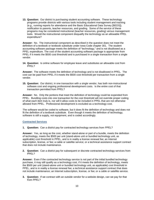**13. Question:** Our district is purchasing student accounting software. These technology programs provide districts with various tools including student management and tracking (e.g., running reports for attendance and the Basic Educational Data Survey [BEDS]), notification to parents, teacher resources, and grading. Some of the service of these programs may be considered instructional (teacher resources, grading) versus management tools. Would the instructional component disqualify the technology as an allowable PPEL expenditure?

**Answer:** No. The instructional component as described in the question does not meet the definition of a textbook or textbook substitute under Iowa Code chapter 301. The student accounting software package meets the definition of "technology," and is not disallowed as a PPEL expenditure. The cost of the student accounting software package is appropriate from PPEL if it meets the \$500 cost threshold and is purchased in a single transaction from a single vendor.

**14. Question:** Is online software for employee leave and substitutes an allowable cost from PPEL?

**Answer:** The software meets the definition of technology and is not disallowed in PPEL. The cost can be paid from PPEL if it meets the \$500 cost threshold per transaction from a single vendor.

**15. Question:** Our district, in one transaction with a single vendor, has both non-instructional software cost and ongoing professional development costs. Is the entire cost of that transaction permitted from PPEL?

**Answer:** No. Only the portions that meet the definition of technology could be expended from PPEL. Bundling costs into one transaction for the cost threshold will not override proper coding of what each item truly is, nor will it allow costs to be included in PPEL that are not otherwise allowed from PPEL. Professional development is excluded as a technology cost.

The software would be coded to software, but it does fit the definition of technology and does not fit the definition of a textbook substitute. Even though it meets the definition of technology, software is still a supply, not equipment, and is coded accordingly.

## <span id="page-11-0"></span>**Contracted Services**

**1. Question:** Can a district pay for contracted technology services from PPEL?

**Answer:** Yes, as long as the cost, whether stand-alone or part of a bundle, meets the definition of technology, meets the \$500 per unit (stand-alone unit or bundled technology unit, as applicable) cost threshold in PPEL, and is in reality a license renewal fee; an Internet subscription, license, or fee; a cable or satellite service; or a technical assistance support contract that does not include maintenance.

**2. Question:** Can a district pay for subsequent or discrete contracted technology services from PPEL?

**Answer:** Even if the contracted technology service is not part of the initial bundled technology purchase, it may still qualify as a technology cost, if it meets the definition of technology, meets the \$500 per unit (stand-alone unit or bundled technology unit, as applicable) cost threshold in PPEL, and is in reality a license renewal fee; a technical assistance support contract that does not include maintenance; an Internet subscription, license, or fee; or a cable or satellite service.

**3. Question:** If we contract with an outside vendor for a website design, can we pay for that from PPEL?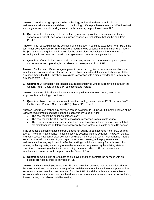**Answer:** Website design appears to be technology technical assistance which is not maintenance, which meets the definition of technology. If the purchase meets the \$500 threshold in a single transaction with a single vendor, this item may be purchased from PPEL.

**4. Question:** Is a fee charged to the district by a service provider for hosting cloud-based software our district uses for our instruction considered technology that can be paid from PPEL?

**Answer:** The fee would meet the definition of technology. It could be expended from PPEL if the cost is not excluded from PPEL or otherwise required to be expended from another fund, meets the \$500 threshold requirement in PPEL for the stand-alone technology unit or the bundled technology unit, and was purchased in a single transaction from a single vendor.

**5. Question:** If our district contracts with a company to back up our entire computer system and store the backup offsite, is that allowed to be expended from PPEL?

**Answer:** Backup and offsite storage appears to be technology technical assistance which is not maintenance, similar to cloud storage services, which meets the definition of technology. If the purchase meets the \$500 threshold in a single transaction with a single vendor, this item may be purchased from PPEL.

**6. Question:** A technology coordinator is a district employee who is currently paid through the General Fund. Could this be a PPEL expenditure instead?

**Answer:** Salaries of district employees cannot be paid from the PPEL Fund, even if the employee is a technology coordinator.

**7. Question:** May a district pay for contracted technology services from PPEL, or from SAVE if the Revenue Purpose Statement (RPS) allows PPEL uses?

**Answer:** Contracted technology services can be paid from PPEL/SAVE if it meets all three of the following requirements and has not been disallowed by Code or rules:

- The cost meets the definition of technology.
- The cost meets the \$500 cost threshold per transaction from a single vendor.
- The cost is in reality a license renewal fee; a technical assistance support contract that is not maintenance; an Internet subscription, license, or fee; or a cable or satellite service.

If the contract is a maintenance contract, it does not qualify to be expended from PPEL or from SAVE. The term "maintenance" is used loosely to describe various activities. However, the law and court cases have a narrower definition of what is meant by that term. "Maintenance" means to cause to remain in a state of good repair; it includes cleaning, upkeep, preventative maintenance, keeping equipment in effective working condition and ready for daily use, minor repairs, replacing parts, inspecting for needed maintenance, preserving the existing state or condition, or preventing a decline in the existing state or condition. All maintenance and maintenance contracts would be paid from the General Fund.

**8. Question:** Can a district terminate its employee and then contract the services with an outside provider in order to pay from PPEL?

**Answer:** A district employee would most likely be providing services that are not allowed from the PPEL Fund, such as maintenance, professional development, instruction or support services to students rather than the ones permitted from the PPEL Fund (i.e., a license renewal fee; a technical assistance support contract that does not include maintenance; an Internet subscription, license, or fee; or a cable or satellite service).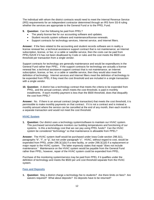The individual with whom the district contracts would need to meet the Internal Revenue Service (IRS) requirements for an independent contractor determined through an IRS form SS-8 ruling whether the services are appropriate to the General Fund or to the PPEL Fund.

- **9. Question:** Can the following be paid from PPEL?
	- The yearly license fee for our accounting software and updates.
	- Student records system software and maintenance/license renewals.
	- Support contracts for technology services, Internet service, and Internet filters.

**Answer:** If the fees related to the accounting and student records software are in reality a license renewal fee; a technical assistance support contract that is not maintenance; an Internet subscription, license, or fee; or a cable or satellite service, then the costs can be paid from PPEL/SAVE if it has not been disallowed by Code or rules and the cost meets the \$500 cost threshold per transaction from a single vendor.

Support contracts for technology are generally maintenance and would be expenditures in the General Fund rather than PPEL. If the support contracts for technology are actually a license renewal fee; a technical assistance support contract that is not maintenance; an Internet subscription, license, or fee; or a cable or satellite service, then they would also meet the definition of technology. Internet services and Internet filters meet the definition of technology to be expended from PPEL if they meet the cost threshold and are included in a single transaction with a single vendor.

**10. Question:** A district has a technology contract that meets the criteria to be expended from PPEL, and the annual contract, which meets the cost threshold, is paid in monthly installments. If each monthly payment is less than the \$500 threshold, does that disqualify the cost from PPEL?

**Answer:** No. If there is an annual contract (single transaction) that meets the cost threshold, it is permissible to make monthly payments on that contract. If it is not a contract and is instead a monthly amount where the service can be cancelled at the end of any month, then each month is a separate transaction and would not meet the cost threshold.

## <span id="page-13-0"></span>**HVAC System**

**1. Question:** Our district uses a technology system/software to maintain our HVAC system. This purchased service/software monitors our building temperatures and functioning of our systems. Is this a technology cost that we can pay using PPEL funds? Can the HVAC system be considered "technology" so that maintenance is allowable from PPEL?

**Answer:** The HVAC system itself would be purchased under Iowa Code section 298.3(1), paragraphs "b", "f", or "g", but not under paragraph "c". HVAC, without regard to cost, would be expended from PPEL under 298.3(1)(b) if a new facility, or under 298.3(1)(f) if a replacement or major repair to the HVAC system. The latter expressly states that repair "does not include maintenance." Maintenance on the HVAC system would be payable from the General Fund rather than PPEL; however, repair of the HVAC system could be expended from PPEL.

Purchase of the monitoring system/service may be paid from PPEL if it qualifies under the definition of technology and meets the \$500 per unit cost threshold separate from the HVAC system.

## <span id="page-13-1"></span>**Fees and Deposits**

**1. Question:** May a district charge a technology fee to students? Are there limits on fees? Are waivers required? What about deposits? Do deposits have to be returned?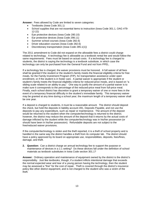**Answer:** Fees allowed by Code are limited to seven categories:

- Textbooks (Iowa Code 301.1)
- School supplies that are not essential items to instruction (Iowa Code 301.1, OAG #79- 12-22)
- Eye protective devices (Iowa Code 280.10)
- Ear protective devices (Iowa Code 298.11)
- Summer school courses (Iowa Code 282.6)
- Driver education courses (Iowa Code 282.6)
- Discretionary transportation (Iowa Code 285.1(1))

The 2011 amendment to Code did not expand on the allowable fees a district could charge related to technology. A technology fee is allowable as a textbook rental fee and would follow the same requirements. Fees must be based on actual costs. If a technology fee is charged to students, the district is saying the technology is a textbook substitute, in which case the technology can only be purchased from the General Fund and not from PPEL.

If a technology fee is charged, the waiver provisions must be honored. A full waiver of all fees shall be granted if the student or the student's family meets the financial eligibility criteria for free meals, for the Family Investment Program (FIP), for transportation assistance under open enrollment, or if the student is in foster care. A partial waiver is appropriate if the student or student's family meets the financial eligibility criteria for reduced-price meals, and is based on "a sliding scale related to an ability to pay." One way to justify the amount of a partial waiver is to make sure it corresponds to the percentage of the reduced-price meal from full-price meal. Finally, each school district has discretion to grant a temporary waiver of one or more fees in the event of a temporary financial difficulty in the student's immediate family. This temporary waiver may be granted at any time during a school year; the maximum length of a temporary waiver shall be one year.

If a deposit is charged to students, it must be a reasonable amount. The district should deposit the check, but hold the deposits in liability account 491, Deposits Payable, and not use the deposits to pay any expenditure, such as repair or maintenance. The amount of the deposit would be returned to the student when the computer/technology is returned to the district; however, the district may reduce the amount of the deposit that it returns by the actual costs of damage inflicted by the student while the computer/technology was in his/her possession (or should have been in his/her possession). Refundable deposits are not subject to the free/reduced waiver provisions.

If the computer/technology is stolen and the theft reported, it is a theft of school property and is handled in the same way the district handles a theft from its computer lab. The district should have a policy approved by its board on appropriate use, responsibilities, deposits, fees/fines, damage, and theft.

**2. Question:** Can a district charge an annual technology fee to support the purpose or maintenance of devices in a 1:1 setting? Do these devices fall under the definition of school materials as textbook substitutes in Iowa Code section 301.1?

**Answer:** Ordinary operation and maintenance of equipment owned by the district is the district's responsibility. Just like textbooks, though, if a student inflicts intentional damage that exceeds the normal expected wear and tear of a young person having the technology, then the student may be assessed a "fine" for the cost of repair. Theft is covered through the district's insurance policy like other district equipment, and is not charged to the student who was a victim of the theft.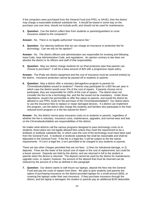If the computers were purchased from the General Fund (not PPEL or SAVE), then the district may charge a reasonable textbook substitute fee. It should be based in some way on the purchase cost over time, should not include profit, and should not be used for maintenance.

**3. Question:** Can the district collect fees from students or parents/guardians to cover insurance related to the computers?

**Answer:** No.There is no legally authorized "insurance fee."

**4. Question:** Our attorney believes that we can charge an insurance or protection fee for technology. Can we rely on his opinion?

**Answer:** No. The district officers and administration are responsible for knowing and following Iowa Code, Iowa Administrative Code, and regulations. An opinion contrary to law does not absolve the district or its officers and staff of that responsibility.

**5. Question:** May our district charge students for an iPad protection plan that parents can choose to purchase? It will be a base amount of \$25 with a progressive repair policy.

**Answer:** The iPads are district equipment and the cost of insurance must be covered entirely by the district. Insurance protection cannot be passed off to students or parents.

**6. Question:** May a district offer a voluntary damage/loss program to parents for Chromebooks/tablets issued to students? Parents may participate for a \$20 fee per year in which case the district would cover X% of the cost of repairs. If parents choose not to participate, they are responsible for 100% of the cost of repairs. The district does not consider the fee to be a technology fee, and the fee would not be mandatory. Under those stipulations, would it be permissible to offer this option to parents, and would the district be allowed to use PPEL funds for the purchase of the Chromebooks/tablets? Our district plans to use the insurance fees to replace or repair damaged devices. If a district can implement this program, can the district also charge the students and families who participate in the free/ reduced lunch program or is the fee waived for them?

**Answer:** No, the district cannot pass insurance costs on to students or parents, regardless of whether the fee is voluntary. Insurance costs, maintenance, upgrades, and normal wear and tear on the Chromebooks/tablets are responsibilities of the district.

No matter what districts call the various programs designed to pass technology costs on to students, those plans are not legally allowed fees unless they meet the requirement to be a textbook or textbook substitute fee, in which case the cost of the technology must have been paid from the General Fund. A textbook or textbook substitute fee shall be reasonable and shall be deposited in the General Fund. If the fee is a legal fee, it will be subject to the fee waiver requirements. If it isn't a legal fee, it isn't permitted to be charged to any students or parents.

There are two other charges permitted that are not fees: 1) fines for intentional damage, or 2) deposits. Fines are the lower of the actual cost of repair or the cost of replacement, but could be a lesser amount. Deposits are held by the district, and are returned in full to the student or parents when the device is returned. The deposit cannot be used by the district for maintenance, upgrade costs, or repairs; however, the amount of the deposit that must be returned can be reduced by the amount of a fine as defined in this paragraph.

**7. Question:** Our district wants to self-insure our laptops, deposit the fees into the General Fund and pay the costs of repairs from there. We plan to give students and parents the option of purchasing insurance on the district-provided laptops for a small amount (\$30), or covering the laptops under their own insurance. If they purchase insurance through the district, and the laptop is damaged, the student or parents pay an additional \$100 deductible.